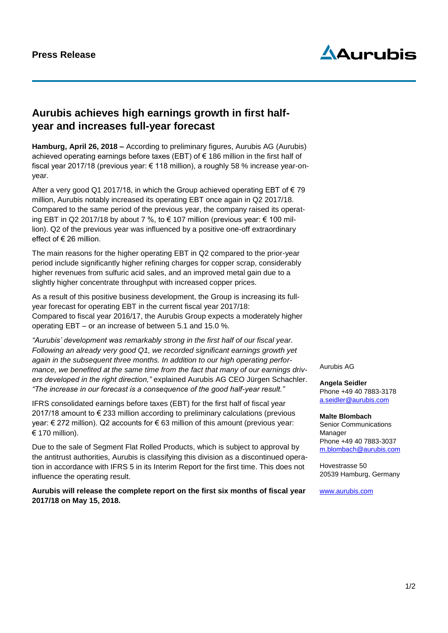# **Aurubis**

### **Aurubis achieves high earnings growth in first halfyear and increases full-year forecast**

**Hamburg, April 26, 2018 –** According to preliminary figures, Aurubis AG (Aurubis) achieved operating earnings before taxes (EBT) of  $\epsilon$  186 million in the first half of fiscal year 2017/18 (previous year: € 118 million), a roughly 58 % increase year-onyear.

After a very good Q1 2017/18, in which the Group achieved operating EBT of  $\epsilon$  79 million, Aurubis notably increased its operating EBT once again in Q2 2017/18. Compared to the same period of the previous year, the company raised its operating EBT in Q2 2017/18 by about 7 %, to € 107 million (previous year:  $∈$  100 million). Q2 of the previous year was influenced by a positive one-off extraordinary effect of € 26 million.

The main reasons for the higher operating EBT in Q2 compared to the prior-year period include significantly higher refining charges for copper scrap, considerably higher revenues from sulfuric acid sales, and an improved metal gain due to a slightly higher concentrate throughput with increased copper prices.

As a result of this positive business development, the Group is increasing its fullyear forecast for operating EBT in the current fiscal year 2017/18: Compared to fiscal year 2016/17, the Aurubis Group expects a moderately higher operating EBT – or an increase of between 5.1 and 15.0 %.

*"Aurubis' development was remarkably strong in the first half of our fiscal year. Following an already very good Q1, we recorded significant earnings growth yet again in the subsequent three months. In addition to our high operating performance, we benefited at the same time from the fact that many of our earnings drivers developed in the right direction,"* explained Aurubis AG CEO Jürgen Schachler. *"The increase in our forecast is a consequence of the good half-year result."* 

IFRS consolidated earnings before taxes (EBT) for the first half of fiscal year 2017/18 amount to € 233 million according to preliminary calculations (previous year: € 272 million). Q2 accounts for € 63 million of this amount (previous year:  $\epsilon$  170 million).

Due to the sale of Segment Flat Rolled Products, which is subject to approval by the antitrust authorities, Aurubis is classifying this division as a discontinued operation in accordance with IFRS 5 in its Interim Report for the first time. This does not influence the operating result.

**Aurubis will release the complete report on the first six months of fiscal year 2017/18 on May 15, 2018.** 

Aurubis AG

**Angela Seidler** Phone +49 40 7883-3178 a.seidler@aurubis.com

#### **Malte Blombach**

Senior Communications Manager Phone +49 40 7883-3037 [m.blombach@aurubis.com](mailto:m.blombach@aurubis.com)

Hovestrasse 50 20539 Hamburg, Germany

[www.aurubis.com](http://www.aurubis.com/)